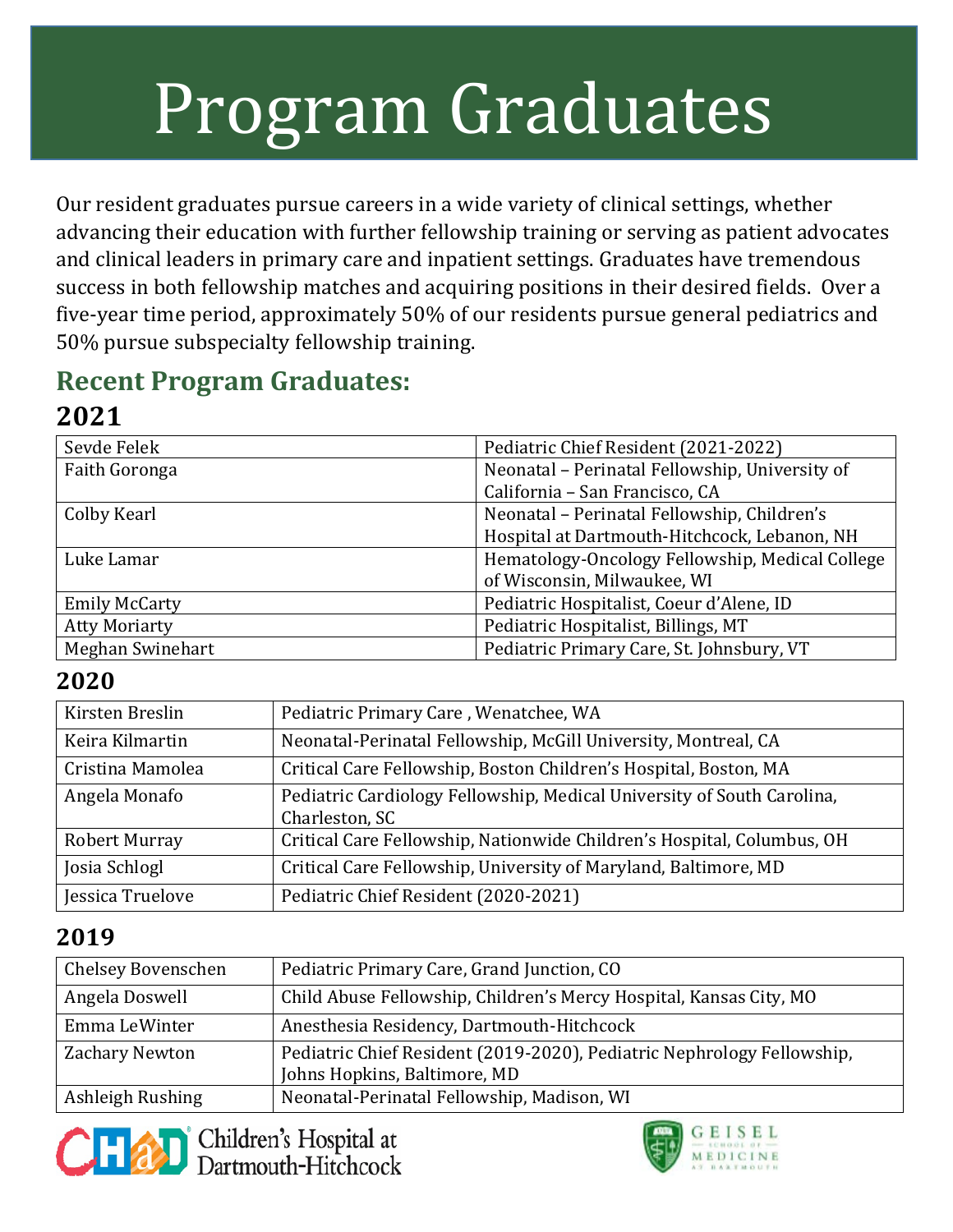# Program Graduates

Our resident graduates pursue careers in a wide variety of clinical settings, whether advancing their education with further fellowship training or serving as patient advocates and clinical leaders in primary care and inpatient settings. Graduates have tremendous success in both fellowship matches and acquiring positions in their desired fields. Over a five-year time period, approximately 50% of our residents pursue general pediatrics and 50% pursue subspecialty fellowship training.

## **Recent Program Graduates:**

### **2021**

| Sevde Felek             | Pediatric Chief Resident (2021-2022)            |
|-------------------------|-------------------------------------------------|
| Faith Goronga           | Neonatal - Perinatal Fellowship, University of  |
|                         | California - San Francisco, CA                  |
| Colby Kearl             | Neonatal - Perinatal Fellowship, Children's     |
|                         | Hospital at Dartmouth-Hitchcock, Lebanon, NH    |
| Luke Lamar              | Hematology-Oncology Fellowship, Medical College |
|                         | of Wisconsin, Milwaukee, WI                     |
| <b>Emily McCarty</b>    | Pediatric Hospitalist, Coeur d'Alene, ID        |
| <b>Atty Moriarty</b>    | Pediatric Hospitalist, Billings, MT             |
| <b>Meghan Swinehart</b> | Pediatric Primary Care, St. Johnsbury, VT       |

#### **2020**

| Kirsten Breslin      | Pediatric Primary Care, Wenatchee, WA                                  |
|----------------------|------------------------------------------------------------------------|
| Keira Kilmartin      | Neonatal-Perinatal Fellowship, McGill University, Montreal, CA         |
| Cristina Mamolea     | Critical Care Fellowship, Boston Children's Hospital, Boston, MA       |
| Angela Monafo        | Pediatric Cardiology Fellowship, Medical University of South Carolina, |
|                      | Charleston, SC                                                         |
| <b>Robert Murray</b> | Critical Care Fellowship, Nationwide Children's Hospital, Columbus, OH |
| Josia Schlogl        | Critical Care Fellowship, University of Maryland, Baltimore, MD        |
| Jessica Truelove     | Pediatric Chief Resident (2020-2021)                                   |

#### **2019**

| Chelsey Bovenschen | Pediatric Primary Care, Grand Junction, CO                                                             |
|--------------------|--------------------------------------------------------------------------------------------------------|
| Angela Doswell     | Child Abuse Fellowship, Children's Mercy Hospital, Kansas City, MO                                     |
| Emma LeWinter      | Anesthesia Residency, Dartmouth-Hitchcock                                                              |
| Zachary Newton     | Pediatric Chief Resident (2019-2020), Pediatric Nephrology Fellowship,<br>Johns Hopkins, Baltimore, MD |
| Ashleigh Rushing   | Neonatal-Perinatal Fellowship, Madison, WI                                                             |